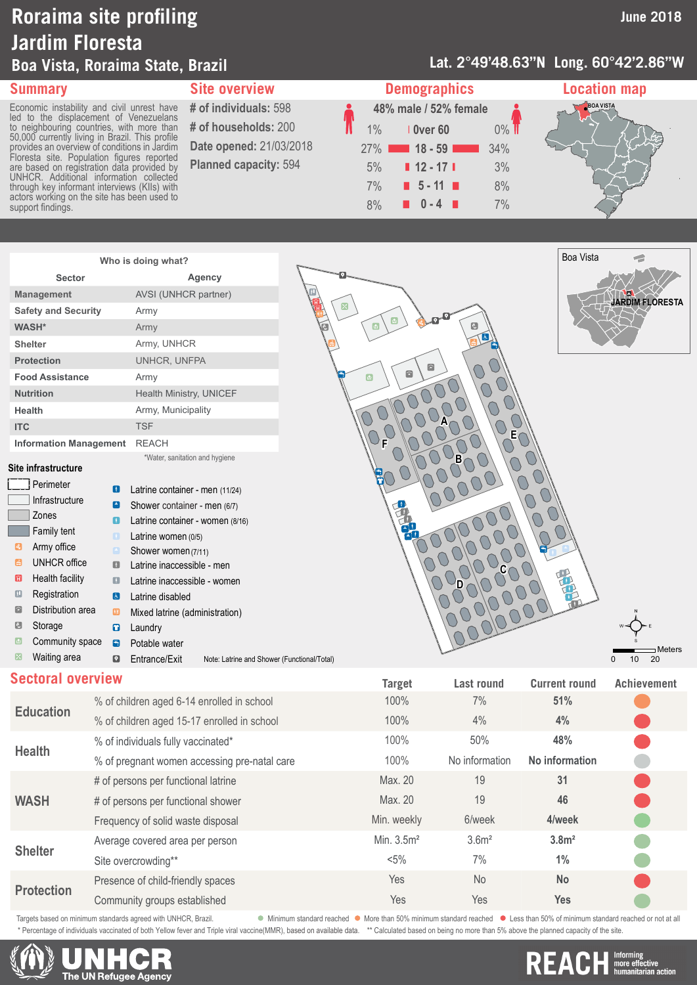# **Roraima site profiling Jardim Floresta Boa Vista, Roraima State, Brazil**

### **Lat. 2°49'48.63"N Long. 60°42'2.86"W**

Economic instability and civil unrest have led to the displacement of Venezuelans to neighbouring countries, with more than 50,000 currently living in Brazil. This profile provides an overview of conditions in Jardim Floresta site. Population figures reported are based on registration data provided by UNHCR. Additional information collected through key informant interviews (KIIs) with actors working on the site has been used to support findings.

**# of households:** 200 **Date opened:** 21/03/2018 **Planned capacity:** 594





| Who is doing what?            |                                |  |  |
|-------------------------------|--------------------------------|--|--|
| <b>Sector</b>                 | Agency                         |  |  |
| <b>Management</b>             | AVSI (UNHCR partner)           |  |  |
| <b>Safety and Security</b>    | Army                           |  |  |
| <b>WASH*</b>                  | Army                           |  |  |
| <b>Shelter</b>                | Army, UNHCR                    |  |  |
| <b>Protection</b>             | UNHCR. UNFPA                   |  |  |
| <b>Food Assistance</b>        | Army                           |  |  |
| <b>Nutrition</b>              | <b>Health Ministry, UNICEF</b> |  |  |
| Health                        | Army, Municipality             |  |  |
| <b>ITC</b>                    | <b>TSF</b>                     |  |  |
| <b>Information Management</b> | <b>RFACH</b>                   |  |  |
|                               | *Water, sanitation and hygiene |  |  |

### **Site infrastructure**

|                              | Perimeter              |                                                               |                                  |                            |  |
|------------------------------|------------------------|---------------------------------------------------------------|----------------------------------|----------------------------|--|
|                              |                        | O                                                             | Latrine container - men (11/24)  |                            |  |
|                              | Infrastructure         | $\left( \begin{smallmatrix} 1\ 1\ 1\end{smallmatrix} \right)$ | Shower container - men (6/7)     |                            |  |
|                              | Zones                  | Œ                                                             | Latrine container - women (8/16) |                            |  |
|                              | Family tent            | $\blacksquare$                                                | Latrine women (0/5)              |                            |  |
| 0                            | Army office            | $[\pm]$                                                       | Shower women (7/11)              |                            |  |
| ۵                            | UNHCR office           | O                                                             | Latrine inaccessible - men       |                            |  |
| O                            | <b>Health facility</b> | $\boldsymbol{\Omega}$                                         | Latrine inaccessible - women     |                            |  |
| $\hbox{\scriptsize\rm\bf G}$ | Registration           | $\left[\mathbf{d}\right]$                                     | Latrine disabled                 |                            |  |
| 6                            | Distribution area      | ▥                                                             | Mixed latrine (administration)   |                            |  |
| Ø                            | Storage                | 0                                                             | Laundry                          |                            |  |
| $\bigcirc$                   | Community space        | A                                                             | Potable water                    |                            |  |
| ×                            | Waiting area           | Q                                                             | Entrance/Exit                    | Note: Latrine and Shower ( |  |
|                              |                        |                                                               |                                  |                            |  |



**Sectoral overview Target Last round Current round Achievement**

|                   |                                              | Target       | Last Tuullu       | GUITENL TOUNU     | <b>ACTILEVEILLE</b> |
|-------------------|----------------------------------------------|--------------|-------------------|-------------------|---------------------|
|                   | % of children aged 6-14 enrolled in school   | 100%         | 7%                | 51%               |                     |
| <b>Education</b>  | % of children aged 15-17 enrolled in school  | 100%         | 4%                | 4%                |                     |
|                   | % of individuals fully vaccinated*           | 100%         | 50%               | 48%               |                     |
| <b>Health</b>     | % of pregnant women accessing pre-natal care | 100%         | No information    | No information    |                     |
|                   | # of persons per functional latrine          | Max. 20      | 19                | 31                |                     |
| <b>WASH</b>       | # of persons per functional shower           | Max. 20      | 19                | 46                |                     |
|                   | Frequency of solid waste disposal            | Min. weekly  | 6/week            | 4/week            |                     |
| <b>Shelter</b>    | Average covered area per person              | Min. $3.5m2$ | 3.6 <sup>m²</sup> | 3.8 <sup>m²</sup> |                     |
|                   | Site overcrowding**                          | $< 5\%$      | 7%                | 1%                |                     |
|                   | Presence of child-friendly spaces            | Yes          | No.               | <b>No</b>         |                     |
| <b>Protection</b> | Community groups established                 | Yes          | Yes               | Yes               |                     |

Targets based on minimum standards agreed with UNHCR, Brazil. More was not all minimum standard reached More than 50% minimum standard reached More than 50% of minimum standard reached or not at all

\* Percentage of individuals vaccinated of both Yellow fever and Triple viral vaccine(MMR), based on available data. \*\* Calculated based on being no more than 5% above the planned capacity of the site.

The UN Refugee Agency

**The Uniorming<br>The Uniore effective<br>The Indian action** REA